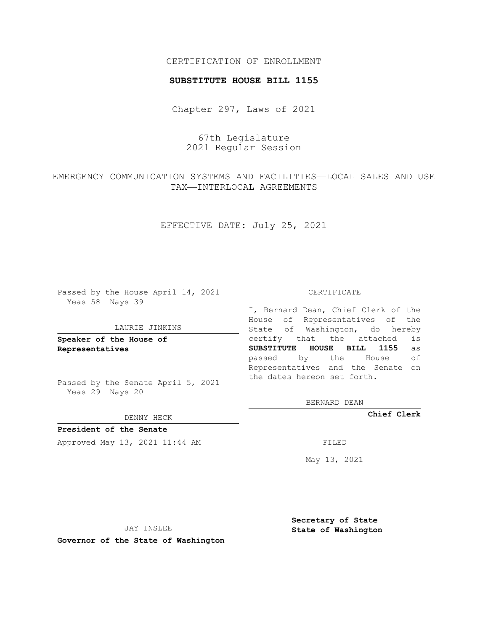## CERTIFICATION OF ENROLLMENT

### **SUBSTITUTE HOUSE BILL 1155**

Chapter 297, Laws of 2021

67th Legislature 2021 Regular Session

EMERGENCY COMMUNICATION SYSTEMS AND FACILITIES—LOCAL SALES AND USE TAX—INTERLOCAL AGREEMENTS

EFFECTIVE DATE: July 25, 2021

Passed by the House April 14, 2021 Yeas 58 Nays 39

#### LAURIE JINKINS

**Speaker of the House of Representatives**

Passed by the Senate April 5, 2021 Yeas 29 Nays 20

DENNY HECK

**President of the Senate** Approved May 13, 2021 11:44 AM FILED

CERTIFICATE

I, Bernard Dean, Chief Clerk of the House of Representatives of the State of Washington, do hereby certify that the attached is **SUBSTITUTE HOUSE BILL 1155** as passed by the House of Representatives and the Senate on the dates hereon set forth.

BERNARD DEAN

**Chief Clerk**

May 13, 2021

JAY INSLEE

**Governor of the State of Washington**

**Secretary of State State of Washington**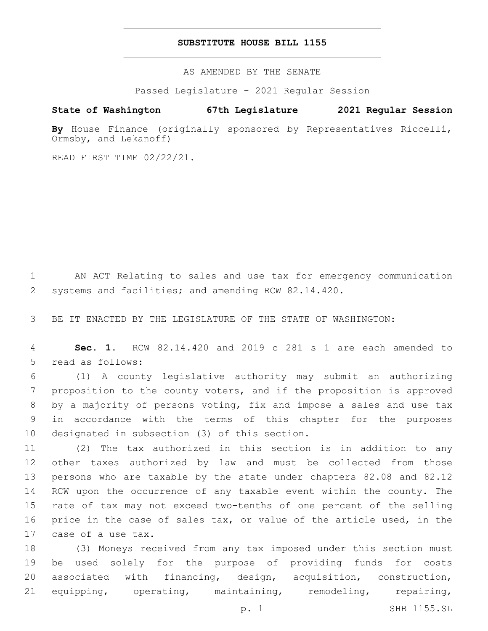## **SUBSTITUTE HOUSE BILL 1155**

AS AMENDED BY THE SENATE

Passed Legislature - 2021 Regular Session

# **State of Washington 67th Legislature 2021 Regular Session**

By House Finance (originally sponsored by Representatives Riccelli, Ormsby, and Lekanoff)

READ FIRST TIME 02/22/21.

 AN ACT Relating to sales and use tax for emergency communication systems and facilities; and amending RCW 82.14.420.

BE IT ENACTED BY THE LEGISLATURE OF THE STATE OF WASHINGTON:

 **Sec. 1.** RCW 82.14.420 and 2019 c 281 s 1 are each amended to 5 read as follows:

 (1) A county legislative authority may submit an authorizing proposition to the county voters, and if the proposition is approved by a majority of persons voting, fix and impose a sales and use tax in accordance with the terms of this chapter for the purposes 10 designated in subsection (3) of this section.

 (2) The tax authorized in this section is in addition to any other taxes authorized by law and must be collected from those persons who are taxable by the state under chapters 82.08 and 82.12 RCW upon the occurrence of any taxable event within the county. The rate of tax may not exceed two-tenths of one percent of the selling price in the case of sales tax, or value of the article used, in the 17 case of a use tax.

 (3) Moneys received from any tax imposed under this section must be used solely for the purpose of providing funds for costs associated with financing, design, acquisition, construction, equipping, operating, maintaining, remodeling, repairing,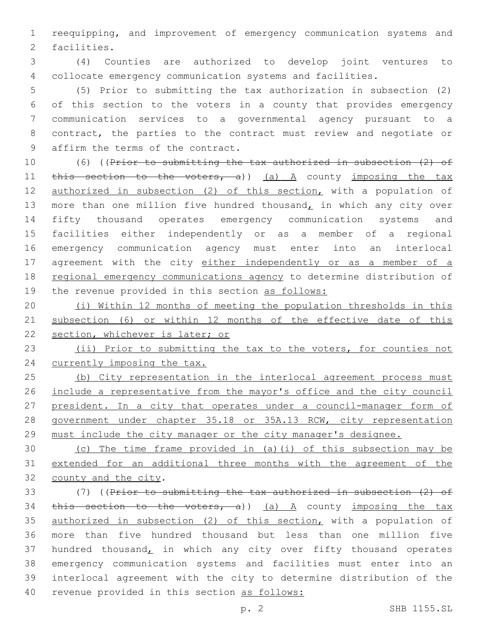reequipping, and improvement of emergency communication systems and 2 facilities.

 (4) Counties are authorized to develop joint ventures to collocate emergency communication systems and facilities.

 (5) Prior to submitting the tax authorization in subsection (2) of this section to the voters in a county that provides emergency communication services to a governmental agency pursuant to a contract, the parties to the contract must review and negotiate or 9 affirm the terms of the contract.

 (6) ((Prior to submitting the tax authorized in subsection (2) of 11 this section to the voters, a)) (a) A county imposing the tax 12 authorized in subsection (2) of this section, with a population of 13 more than one million five hundred thousand, in which any city over fifty thousand operates emergency communication systems and facilities either independently or as a member of a regional emergency communication agency must enter into an interlocal 17 agreement with the city either independently or as a member of a 18 regional emergency communications agency to determine distribution of the revenue provided in this section as follows:

 (i) Within 12 months of meeting the population thresholds in this subsection (6) or within 12 months of the effective date of this section, whichever is later; or

 (ii) Prior to submitting the tax to the voters, for counties not 24 currently imposing the tax.

 (b) City representation in the interlocal agreement process must include a representative from the mayor's office and the city council 27 president. In a city that operates under a council-manager form of government under chapter 35.18 or 35A.13 RCW, city representation 29 must include the city manager or the city manager's designee.

 (c) The time frame provided in (a)(i) of this subsection may be extended for an additional three months with the agreement of the 32 county and the city.

 (7) ((Prior to submitting the tax authorized in subsection (2) of 34 this section to the voters, a)) (a) A county imposing the tax 35 authorized in subsection (2) of this section, with a population of more than five hundred thousand but less than one million five 37 hundred thousand, in which any city over fifty thousand operates emergency communication systems and facilities must enter into an interlocal agreement with the city to determine distribution of the revenue provided in this section as follows: